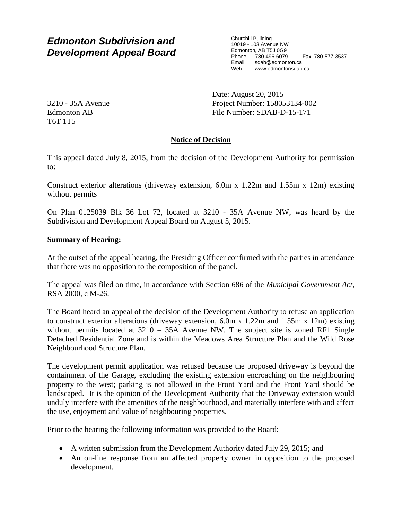# *Edmonton Subdivision and Development Appeal Board*

Churchill Building 10019 - 103 Avenue NW Edmonton, AB T5J 0G9 Phone: 780-496-6079 Fax: 780-577-3537 Email: sdab@edmonton.ca<br>Web: www.edmonton.ca Web: www.edmontonsdab.ca

3210 - 35A Avenue Edmonton AB T6T 1T5

Date: August 20, 2015 Project Number: 158053134-002 File Number: SDAB-D-15-171

## **Notice of Decision**

This appeal dated July 8, 2015, from the decision of the Development Authority for permission to:

Construct exterior alterations (driveway extension, 6.0m x 1.22m and 1.55m x 12m) existing without permits

On Plan 0125039 Blk 36 Lot 72, located at 3210 - 35A Avenue NW, was heard by the Subdivision and Development Appeal Board on August 5, 2015.

## **Summary of Hearing:**

At the outset of the appeal hearing, the Presiding Officer confirmed with the parties in attendance that there was no opposition to the composition of the panel.

The appeal was filed on time, in accordance with Section 686 of the *Municipal Government Act*, RSA 2000, c M-26.

The Board heard an appeal of the decision of the Development Authority to refuse an application to construct exterior alterations (driveway extension, 6.0m x 1.22m and 1.55m x 12m) existing without permits located at  $3210 - 35A$  Avenue NW. The subject site is zoned RF1 Single Detached Residential Zone and is within the Meadows Area Structure Plan and the Wild Rose Neighbourhood Structure Plan.

The development permit application was refused because the proposed driveway is beyond the containment of the Garage, excluding the existing extension encroaching on the neighbouring property to the west; parking is not allowed in the Front Yard and the Front Yard should be landscaped. It is the opinion of the Development Authority that the Driveway extension would unduly interfere with the amenities of the neighbourhood, and materially interfere with and affect the use, enjoyment and value of neighbouring properties.

Prior to the hearing the following information was provided to the Board:

- A written submission from the Development Authority dated July 29, 2015; and
- An on-line response from an affected property owner in opposition to the proposed development.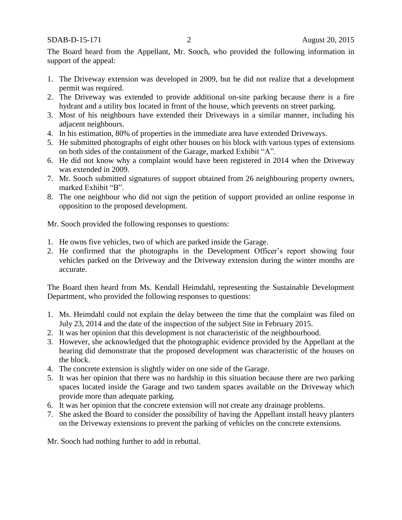#### SDAB-D-15-171 2 August 20, 2015

The Board heard from the Appellant, Mr. Sooch, who provided the following information in support of the appeal:

- 1. The Driveway extension was developed in 2009, but he did not realize that a development permit was required.
- 2. The Driveway was extended to provide additional on-site parking because there is a fire hydrant and a utility box located in front of the house, which prevents on street parking.
- 3. Most of his neighbours have extended their Driveways in a similar manner, including his adjacent neighbours.
- 4. In his estimation, 80% of properties in the immediate area have extended Driveways.
- 5. He submitted photographs of eight other houses on his block with various types of extensions on both sides of the containment of the Garage, marked Exhibit "A".
- 6. He did not know why a complaint would have been registered in 2014 when the Driveway was extended in 2009.
- 7. Mr. Sooch submitted signatures of support obtained from 26 neighbouring property owners, marked Exhibit "B".
- 8. The one neighbour who did not sign the petition of support provided an online response in opposition to the proposed development.

Mr. Sooch provided the following responses to questions:

- 1. He owns five vehicles, two of which are parked inside the Garage.
- 2. He confirmed that the photographs in the Development Officer's report showing four vehicles parked on the Driveway and the Driveway extension during the winter months are accurate.

The Board then heard from Ms. Kendall Heimdahl, representing the Sustainable Development Department, who provided the following responses to questions:

- 1. Ms. Heimdahl could not explain the delay between the time that the complaint was filed on July 23, 2014 and the date of the inspection of the subject Site in February 2015.
- 2. It was her opinion that this development is not characteristic of the neighbourhood.
- 3. However, she acknowledged that the photographic evidence provided by the Appellant at the hearing did demonstrate that the proposed development was characteristic of the houses on the block.
- 4. The concrete extension is slightly wider on one side of the Garage.
- 5. It was her opinion that there was no hardship in this situation because there are two parking spaces located inside the Garage and two tandem spaces available on the Driveway which provide more than adequate parking.
- 6. It was her opinion that the concrete extension will not create any drainage problems.
- 7. She asked the Board to consider the possibility of having the Appellant install heavy planters on the Driveway extensions to prevent the parking of vehicles on the concrete extensions.

Mr. Sooch had nothing further to add in rebuttal.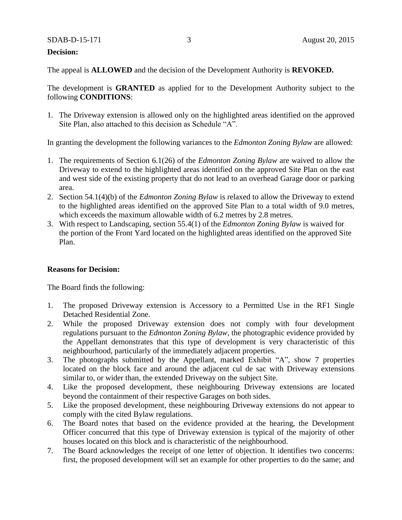#### SDAB-D-15-171 3 August 20, 2015

#### **Decision:**

The appeal is **ALLOWED** and the decision of the Development Authority is **REVOKED.**

The development is **GRANTED** as applied for to the Development Authority subject to the following **CONDITIONS**:

1. The Driveway extension is allowed only on the highlighted areas identified on the approved Site Plan, also attached to this decision as Schedule "A".

In granting the development the following variances to the *Edmonton Zoning Bylaw* are allowed:

- 1. The requirements of Section 6.1(26) of the *Edmonton Zoning Bylaw* are waived to allow the Driveway to extend to the highlighted areas identified on the approved Site Plan on the east and west side of the existing property that do not lead to an overhead Garage door or parking area.
- 2. Section 54.1(4)(b) of the *Edmonton Zoning Bylaw* is relaxed to allow the Driveway to extend to the highlighted areas identified on the approved Site Plan to a total width of 9.0 metres, which exceeds the maximum allowable width of 6.2 metres by 2.8 metres.
- 3. With respect to Landscaping, section 55.4(1) of the *Edmonton Zoning Bylaw* is waived for the portion of the Front Yard located on the highlighted areas identified on the approved Site Plan.

#### **Reasons for Decision:**

The Board finds the following:

- 1. The proposed Driveway extension is Accessory to a Permitted Use in the RF1 Single Detached Residential Zone.
- 2. While the proposed Driveway extension does not comply with four development regulations pursuant to the *Edmonton Zoning Bylaw*, the photographic evidence provided by the Appellant demonstrates that this type of development is very characteristic of this neighbourhood, particularly of the immediately adjacent properties.
- 3. The photographs submitted by the Appellant, marked Exhibit "A", show 7 properties located on the block face and around the adjacent cul de sac with Driveway extensions similar to, or wider than, the extended Driveway on the subject Site.
- 4. Like the proposed development, these neighbouring Driveway extensions are located beyond the containment of their respective Garages on both sides.
- 5. Like the proposed development, these neighbouring Driveway extensions do not appear to comply with the cited Bylaw regulations.
- 6. The Board notes that based on the evidence provided at the hearing, the Development Officer concurred that this type of Driveway extension is typical of the majority of other houses located on this block and is characteristic of the neighbourhood.
- 7. The Board acknowledges the receipt of one letter of objection. It identifies two concerns: first, the proposed development will set an example for other properties to do the same; and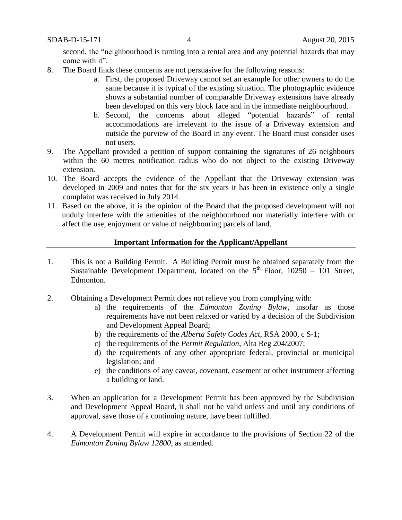second, the "neighbourhood is turning into a rental area and any potential hazards that may come with it".

- 8. The Board finds these concerns are not persuasive for the following reasons:
	- a. First, the proposed Driveway cannot set an example for other owners to do the same because it is typical of the existing situation. The photographic evidence shows a substantial number of comparable Driveway extensions have already been developed on this very block face and in the immediate neighbourhood.
	- b. Second, the concerns about alleged "potential hazards" of rental accommodations are irrelevant to the issue of a Driveway extension and outside the purview of the Board in any event. The Board must consider uses not users.
- 9. The Appellant provided a petition of support containing the signatures of 26 neighbours within the 60 metres notification radius who do not object to the existing Driveway extension.
- 10. The Board accepts the evidence of the Appellant that the Driveway extension was developed in 2009 and notes that for the six years it has been in existence only a single complaint was received in July 2014.
- 11. Based on the above, it is the opinion of the Board that the proposed development will not unduly interfere with the amenities of the neighbourhood nor materially interfere with or affect the use, enjoyment or value of neighbouring parcels of land.

## **Important Information for the Applicant/Appellant**

- 1. This is not a Building Permit. A Building Permit must be obtained separately from the Sustainable Development Department, located on the  $5<sup>th</sup>$  Floor, 10250 – 101 Street, Edmonton.
- 2. Obtaining a Development Permit does not relieve you from complying with:
	- a) the requirements of the *Edmonton Zoning Bylaw*, insofar as those requirements have not been relaxed or varied by a decision of the Subdivision and Development Appeal Board;
	- b) the requirements of the *Alberta Safety Codes Act*, RSA 2000, c S-1;
	- c) the requirements of the *Permit Regulation*, Alta Reg 204/2007;
	- d) the requirements of any other appropriate federal, provincial or municipal legislation; and
	- e) the conditions of any caveat, covenant, easement or other instrument affecting a building or land.
- 3. When an application for a Development Permit has been approved by the Subdivision and Development Appeal Board, it shall not be valid unless and until any conditions of approval, save those of a continuing nature, have been fulfilled.
- 4. A Development Permit will expire in accordance to the provisions of Section 22 of the *Edmonton Zoning Bylaw 12800*, as amended.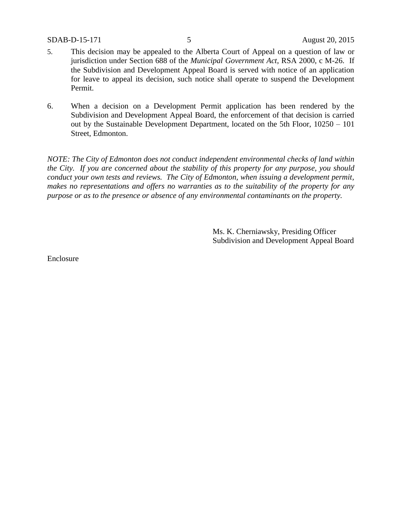- 5. This decision may be appealed to the Alberta Court of Appeal on a question of law or jurisdiction under Section 688 of the *Municipal Government Act*, RSA 2000, c M-26. If the Subdivision and Development Appeal Board is served with notice of an application for leave to appeal its decision, such notice shall operate to suspend the Development Permit.
- 6. When a decision on a Development Permit application has been rendered by the Subdivision and Development Appeal Board, the enforcement of that decision is carried out by the Sustainable Development Department, located on the 5th Floor, 10250 – 101 Street, Edmonton.

*NOTE: The City of Edmonton does not conduct independent environmental checks of land within the City. If you are concerned about the stability of this property for any purpose, you should conduct your own tests and reviews. The City of Edmonton, when issuing a development permit, makes no representations and offers no warranties as to the suitability of the property for any purpose or as to the presence or absence of any environmental contaminants on the property.*

> Ms. K. Cherniawsky, Presiding Officer Subdivision and Development Appeal Board

Enclosure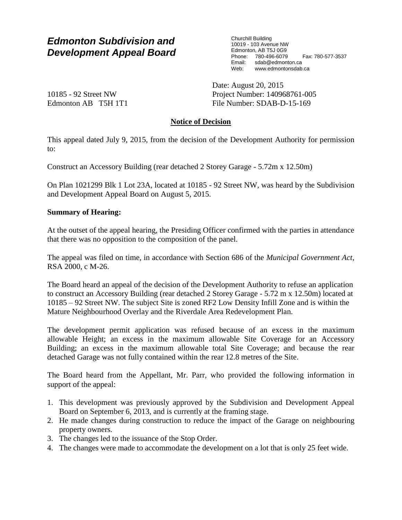## *Edmonton Subdivision and Development Appeal Board*

Churchill Building 10019 - 103 Avenue NW Edmonton, AB T5J 0G9 Phone: 780-496-6079 Fax: 780-577-3537 Email: sdab@edmonton.ca Web: www.edmontonsdab.ca

10185 - 92 Street NW Edmonton AB T5H 1T1 Date: August 20, 2015 Project Number: 140968761-005 File Number: SDAB-D-15-169

## **Notice of Decision**

This appeal dated July 9, 2015, from the decision of the Development Authority for permission to:

Construct an Accessory Building (rear detached 2 Storey Garage - 5.72m x 12.50m)

On Plan 1021299 Blk 1 Lot 23A, located at 10185 - 92 Street NW, was heard by the Subdivision and Development Appeal Board on August 5, 2015.

## **Summary of Hearing:**

At the outset of the appeal hearing, the Presiding Officer confirmed with the parties in attendance that there was no opposition to the composition of the panel.

The appeal was filed on time, in accordance with Section 686 of the *Municipal Government Act*, RSA 2000, c M-26.

The Board heard an appeal of the decision of the Development Authority to refuse an application to construct an Accessory Building (rear detached 2 Storey Garage - 5.72 m x 12.50m) located at 10185 – 92 Street NW. The subject Site is zoned RF2 Low Density Infill Zone and is within the Mature Neighbourhood Overlay and the Riverdale Area Redevelopment Plan.

The development permit application was refused because of an excess in the maximum allowable Height; an excess in the maximum allowable Site Coverage for an Accessory Building; an excess in the maximum allowable total Site Coverage; and because the rear detached Garage was not fully contained within the rear 12.8 metres of the Site.

The Board heard from the Appellant, Mr. Parr, who provided the following information in support of the appeal:

- 1. This development was previously approved by the Subdivision and Development Appeal Board on September 6, 2013, and is currently at the framing stage.
- 2. He made changes during construction to reduce the impact of the Garage on neighbouring property owners.
- 3. The changes led to the issuance of the Stop Order.
- 4. The changes were made to accommodate the development on a lot that is only 25 feet wide.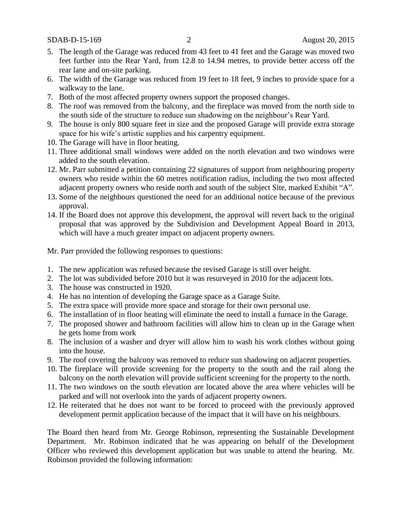SDAB-D-15-169 2 August 20, 2015

- 5. The length of the Garage was reduced from 43 feet to 41 feet and the Garage was moved two feet further into the Rear Yard, from 12.8 to 14.94 metres, to provide better access off the rear lane and on-site parking.
- 6. The width of the Garage was reduced from 19 feet to 18 feet, 9 inches to provide space for a walkway to the lane.
- 7. Both of the most affected property owners support the proposed changes.
- 8. The roof was removed from the balcony, and the fireplace was moved from the north side to the south side of the structure to reduce sun shadowing on the neighbour's Rear Yard.
- 9. The house is only 800 square feet in size and the proposed Garage will provide extra storage space for his wife's artistic supplies and his carpentry equipment.
- 10. The Garage will have in floor heating.
- 11. Three additional small windows were added on the north elevation and two windows were added to the south elevation.
- 12. Mr. Parr submitted a petition containing 22 signatures of support from neighbouring property owners who reside within the 60 metres notification radius, including the two most affected adjacent property owners who reside north and south of the subject Site, marked Exhibit "A".
- 13. Some of the neighbours questioned the need for an additional notice because of the previous approval.
- 14. If the Board does not approve this development, the approval will revert back to the original proposal that was approved by the Subdivision and Development Appeal Board in 2013, which will have a much greater impact on adjacent property owners.

Mr. Parr provided the following responses to questions:

- 1. The new application was refused because the revised Garage is still over height.
- 2. The lot was subdivided before 2010 but it was resurveyed in 2010 for the adjacent lots.
- 3. The house was constructed in 1920.
- 4. He has no intention of developing the Garage space as a Garage Suite.
- 5. The extra space will provide more space and storage for their own personal use.
- 6. The installation of in floor heating will eliminate the need to install a furnace in the Garage.
- 7. The proposed shower and bathroom facilities will allow him to clean up in the Garage when he gets home from work
- 8. The inclusion of a washer and dryer will allow him to wash his work clothes without going into the house.
- 9. The roof covering the balcony was removed to reduce sun shadowing on adjacent properties.
- 10. The fireplace will provide screening for the property to the south and the rail along the balcony on the north elevation will provide sufficient screening for the property to the north.
- 11. The two windows on the south elevation are located above the area where vehicles will be parked and will not overlook into the yards of adjacent property owners.
- 12. He reiterated that he does not want to be forced to proceed with the previously approved development permit application because of the impact that it will have on his neighbours.

The Board then heard from Mr. George Robinson, representing the Sustainable Development Department. Mr. Robinson indicated that he was appearing on behalf of the Development Officer who reviewed this development application but was unable to attend the hearing. Mr. Robinson provided the following information: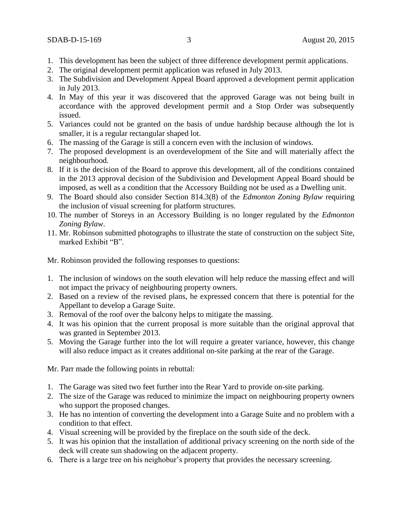- 1. This development has been the subject of three difference development permit applications.
- 2. The original development permit application was refused in July 2013.
- 3. The Subdivision and Development Appeal Board approved a development permit application in July 2013.
- 4. In May of this year it was discovered that the approved Garage was not being built in accordance with the approved development permit and a Stop Order was subsequently issued.
- 5. Variances could not be granted on the basis of undue hardship because although the lot is smaller, it is a regular rectangular shaped lot.
- 6. The massing of the Garage is still a concern even with the inclusion of windows.
- 7. The proposed development is an overdevelopment of the Site and will materially affect the neighbourhood.
- 8. If it is the decision of the Board to approve this development, all of the conditions contained in the 2013 approval decision of the Subdivision and Development Appeal Board should be imposed, as well as a condition that the Accessory Building not be used as a Dwelling unit.
- 9. The Board should also consider Section 814.3(8) of the *Edmonton Zoning Bylaw* requiring the inclusion of visual screening for platform structures.
- 10. The number of Storeys in an Accessory Building is no longer regulated by the *Edmonton Zoning Bylaw*.
- 11. Mr. Robinson submitted photographs to illustrate the state of construction on the subject Site, marked Exhibit "B".

Mr. Robinson provided the following responses to questions:

- 1. The inclusion of windows on the south elevation will help reduce the massing effect and will not impact the privacy of neighbouring property owners.
- 2. Based on a review of the revised plans, he expressed concern that there is potential for the Appellant to develop a Garage Suite.
- 3. Removal of the roof over the balcony helps to mitigate the massing.
- 4. It was his opinion that the current proposal is more suitable than the original approval that was granted in September 2013.
- 5. Moving the Garage further into the lot will require a greater variance, however, this change will also reduce impact as it creates additional on-site parking at the rear of the Garage.

Mr. Parr made the following points in rebuttal:

- 1. The Garage was sited two feet further into the Rear Yard to provide on-site parking.
- 2. The size of the Garage was reduced to minimize the impact on neighbouring property owners who support the proposed changes.
- 3. He has no intention of converting the development into a Garage Suite and no problem with a condition to that effect.
- 4. Visual screening will be provided by the fireplace on the south side of the deck.
- 5. It was his opinion that the installation of additional privacy screening on the north side of the deck will create sun shadowing on the adjacent property.
- 6. There is a large tree on his neighobur's property that provides the necessary screening.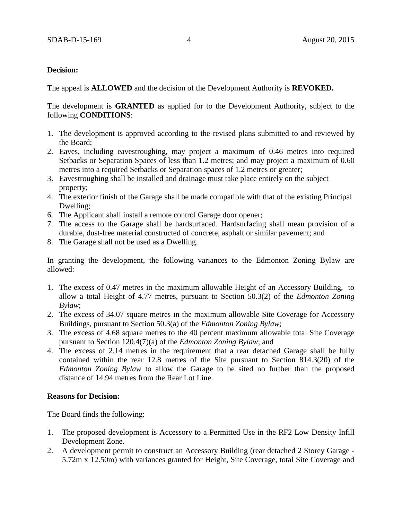## **Decision:**

The appeal is **ALLOWED** and the decision of the Development Authority is **REVOKED.**

The development is **GRANTED** as applied for to the Development Authority, subject to the following **CONDITIONS**:

- 1. The development is approved according to the revised plans submitted to and reviewed by the Board;
- 2. Eaves, including eavestroughing, may project a maximum of 0.46 metres into required Setbacks or Separation Spaces of less than 1.2 metres; and may project a maximum of 0.60 metres into a required Setbacks or Separation spaces of 1.2 metres or greater;
- 3. Eavestroughing shall be installed and drainage must take place entirely on the subject property;
- 4. The exterior finish of the Garage shall be made compatible with that of the existing Principal Dwelling;
- 6. The Applicant shall install a remote control Garage door opener;
- 7. The access to the Garage shall be hardsurfaced. Hardsurfacing shall mean provision of a durable, dust-free material constructed of concrete, asphalt or similar pavement; and
- 8. The Garage shall not be used as a Dwelling.

In granting the development, the following variances to the Edmonton Zoning Bylaw are allowed:

- 1. The excess of 0.47 metres in the maximum allowable Height of an Accessory Building, to allow a total Height of 4.77 metres, pursuant to Section 50.3(2) of the *Edmonton Zoning Bylaw*;
- 2. The excess of 34.07 square metres in the maximum allowable Site Coverage for Accessory Buildings, pursuant to Section 50.3(a) of the *Edmonton Zoning Bylaw*;
- 3. The excess of 4.68 square metres to the 40 percent maximum allowable total Site Coverage pursuant to Section 120.4(7)(a) of the *Edmonton Zoning Bylaw*; and
- 4. The excess of 2.14 metres in the requirement that a rear detached Garage shall be fully contained within the rear 12.8 metres of the Site pursuant to Section 814.3(20) of the *Edmonton Zoning Bylaw* to allow the Garage to be sited no further than the proposed distance of 14.94 metres from the Rear Lot Line.

## **Reasons for Decision:**

The Board finds the following:

- 1. The proposed development is Accessory to a Permitted Use in the RF2 Low Density Infill Development Zone.
- 2. A development permit to construct an Accessory Building (rear detached 2 Storey Garage 5.72m x 12.50m) with variances granted for Height, Site Coverage, total Site Coverage and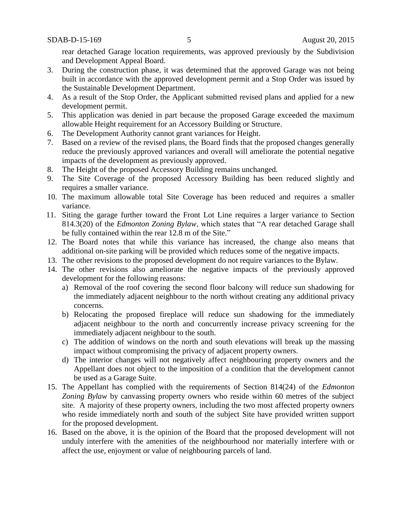rear detached Garage location requirements, was approved previously by the Subdivision and Development Appeal Board.

- 3. During the construction phase, it was determined that the approved Garage was not being built in accordance with the approved development permit and a Stop Order was issued by the Sustainable Development Department.
- 4. As a result of the Stop Order, the Applicant submitted revised plans and applied for a new development permit.
- 5. This application was denied in part because the proposed Garage exceeded the maximum allowable Height requirement for an Accessory Building or Structure.
- 6. The Development Authority cannot grant variances for Height.
- 7. Based on a review of the revised plans, the Board finds that the proposed changes generally reduce the previously approved variances and overall will ameliorate the potential negative impacts of the development as previously approved.
- 8. The Height of the proposed Accessory Building remains unchanged.
- 9. The Site Coverage of the proposed Accessory Building has been reduced slightly and requires a smaller variance.
- 10. The maximum allowable total Site Coverage has been reduced and requires a smaller variance.
- 11. Siting the garage further toward the Front Lot Line requires a larger variance to Section 814.3(20) of the *Edmonton Zoning Bylaw*, which states that "A rear detached Garage shall be fully contained within the rear 12.8 m of the Site."
- 12. The Board notes that while this variance has increased, the change also means that additional on-site parking will be provided which reduces some of the negative impacts.
- 13. The other revisions to the proposed development do not require variances to the Bylaw.
- 14. The other revisions also ameliorate the negative impacts of the previously approved development for the following reasons:
	- a) Removal of the roof covering the second floor balcony will reduce sun shadowing for the immediately adjacent neighbour to the north without creating any additional privacy concerns.
	- b) Relocating the proposed fireplace will reduce sun shadowing for the immediately adjacent neighbour to the north and concurrently increase privacy screening for the immediately adjacent neighbour to the south.
	- c) The addition of windows on the north and south elevations will break up the massing impact without compromising the privacy of adjacent property owners.
	- d) The interior changes will not negatively affect neighbouring property owners and the Appellant does not object to the imposition of a condition that the development cannot be used as a Garage Suite.
- 15. The Appellant has complied with the requirements of Section 814(24) of the *Edmonton Zoning Bylaw* by canvassing property owners who reside within 60 metres of the subject site. A majority of these property owners, including the two most affected property owners who reside immediately north and south of the subject Site have provided written support for the proposed development.
- 16. Based on the above, it is the opinion of the Board that the proposed development will not unduly interfere with the amenities of the neighbourhood nor materially interfere with or affect the use, enjoyment or value of neighbouring parcels of land.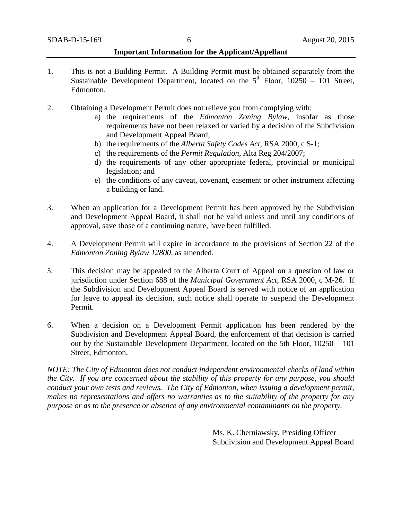## **Important Information for the Applicant/Appellant**

- 1. This is not a Building Permit. A Building Permit must be obtained separately from the Sustainable Development Department, located on the  $5<sup>th</sup>$  Floor, 10250 – 101 Street, Edmonton.
- 2. Obtaining a Development Permit does not relieve you from complying with:
	- a) the requirements of the *Edmonton Zoning Bylaw*, insofar as those requirements have not been relaxed or varied by a decision of the Subdivision and Development Appeal Board;
	- b) the requirements of the *Alberta Safety Codes Act*, RSA 2000, c S-1;
	- c) the requirements of the *Permit Regulation*, Alta Reg 204/2007;
	- d) the requirements of any other appropriate federal, provincial or municipal legislation; and
	- e) the conditions of any caveat, covenant, easement or other instrument affecting a building or land.
- 3. When an application for a Development Permit has been approved by the Subdivision and Development Appeal Board, it shall not be valid unless and until any conditions of approval, save those of a continuing nature, have been fulfilled.
- 4. A Development Permit will expire in accordance to the provisions of Section 22 of the *Edmonton Zoning Bylaw 12800*, as amended.
- 5. This decision may be appealed to the Alberta Court of Appeal on a question of law or jurisdiction under Section 688 of the *Municipal Government Act*, RSA 2000, c M-26. If the Subdivision and Development Appeal Board is served with notice of an application for leave to appeal its decision, such notice shall operate to suspend the Development Permit.
- 6. When a decision on a Development Permit application has been rendered by the Subdivision and Development Appeal Board, the enforcement of that decision is carried out by the Sustainable Development Department, located on the 5th Floor, 10250 – 101 Street, Edmonton.

*NOTE: The City of Edmonton does not conduct independent environmental checks of land within the City. If you are concerned about the stability of this property for any purpose, you should conduct your own tests and reviews. The City of Edmonton, when issuing a development permit, makes no representations and offers no warranties as to the suitability of the property for any purpose or as to the presence or absence of any environmental contaminants on the property.*

> Ms. K. Cherniawsky, Presiding Officer Subdivision and Development Appeal Board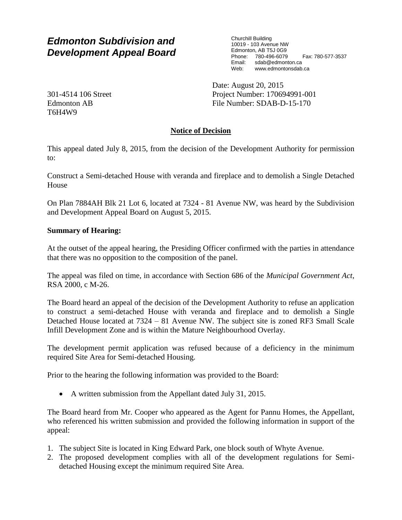# *Edmonton Subdivision and Development Appeal Board*

Churchill Building 10019 - 103 Avenue NW Edmonton, AB T5J 0G9 Phone: 780-496-6079 Fax: 780-577-3537 Email: sdab@edmonton.ca Web: www.edmontonsdab.ca

Date: August 20, 2015 Project Number: 170694991-001 File Number: SDAB-D-15-170

**Notice of Decision**

This appeal dated July 8, 2015, from the decision of the Development Authority for permission to:

Construct a Semi-detached House with veranda and fireplace and to demolish a Single Detached House

On Plan 7884AH Blk 21 Lot 6, located at 7324 - 81 Avenue NW, was heard by the Subdivision and Development Appeal Board on August 5, 2015.

## **Summary of Hearing:**

At the outset of the appeal hearing, the Presiding Officer confirmed with the parties in attendance that there was no opposition to the composition of the panel.

The appeal was filed on time, in accordance with Section 686 of the *Municipal Government Act*, RSA 2000, c M-26.

The Board heard an appeal of the decision of the Development Authority to refuse an application to construct a semi-detached House with veranda and fireplace and to demolish a Single Detached House located at 7324 – 81 Avenue NW. The subject site is zoned RF3 Small Scale Infill Development Zone and is within the Mature Neighbourhood Overlay.

The development permit application was refused because of a deficiency in the minimum required Site Area for Semi-detached Housing.

Prior to the hearing the following information was provided to the Board:

• A written submission from the Appellant dated July 31, 2015.

The Board heard from Mr. Cooper who appeared as the Agent for Pannu Homes, the Appellant, who referenced his written submission and provided the following information in support of the appeal:

- 1. The subject Site is located in King Edward Park, one block south of Whyte Avenue.
- 2. The proposed development complies with all of the development regulations for Semidetached Housing except the minimum required Site Area.

301-4514 106 Street Edmonton AB T6H4W9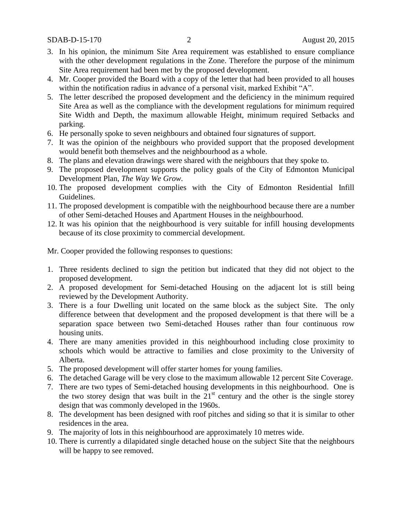SDAB-D-15-170 2 August 20, 2015

- 3. In his opinion, the minimum Site Area requirement was established to ensure compliance with the other development regulations in the Zone. Therefore the purpose of the minimum Site Area requirement had been met by the proposed development.
- 4. Mr. Cooper provided the Board with a copy of the letter that had been provided to all houses within the notification radius in advance of a personal visit, marked Exhibit "A".
- 5. The letter described the proposed development and the deficiency in the minimum required Site Area as well as the compliance with the development regulations for minimum required Site Width and Depth, the maximum allowable Height, minimum required Setbacks and parking.
- 6. He personally spoke to seven neighbours and obtained four signatures of support.
- 7. It was the opinion of the neighbours who provided support that the proposed development would benefit both themselves and the neighbourhood as a whole.
- 8. The plans and elevation drawings were shared with the neighbours that they spoke to.
- 9. The proposed development supports the policy goals of the City of Edmonton Municipal Development Plan, *The Way We Grow.*
- 10. The proposed development complies with the City of Edmonton Residential Infill Guidelines.
- 11. The proposed development is compatible with the neighbourhood because there are a number of other Semi-detached Houses and Apartment Houses in the neighbourhood.
- 12. It was his opinion that the neighbourhood is very suitable for infill housing developments because of its close proximity to commercial development.

Mr. Cooper provided the following responses to questions:

- 1. Three residents declined to sign the petition but indicated that they did not object to the proposed development.
- 2. A proposed development for Semi-detached Housing on the adjacent lot is still being reviewed by the Development Authority.
- 3. There is a four Dwelling unit located on the same block as the subject Site. The only difference between that development and the proposed development is that there will be a separation space between two Semi-detached Houses rather than four continuous row housing units.
- 4. There are many amenities provided in this neighbourhood including close proximity to schools which would be attractive to families and close proximity to the University of Alberta.
- 5. The proposed development will offer starter homes for young families.
- 6. The detached Garage will be very close to the maximum allowable 12 percent Site Coverage.
- 7. There are two types of Semi-detached housing developments in this neighbourhood. One is the two storey design that was built in the  $21<sup>st</sup>$  century and the other is the single storey design that was commonly developed in the 1960s.
- 8. The development has been designed with roof pitches and siding so that it is similar to other residences in the area.
- 9. The majority of lots in this neighbourhood are approximately 10 metres wide.
- 10. There is currently a dilapidated single detached house on the subject Site that the neighbours will be happy to see removed.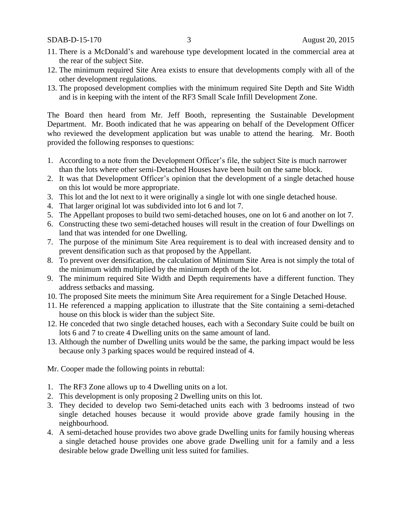- 11. There is a McDonald's and warehouse type development located in the commercial area at the rear of the subject Site.
- 12. The minimum required Site Area exists to ensure that developments comply with all of the other development regulations.
- 13. The proposed development complies with the minimum required Site Depth and Site Width and is in keeping with the intent of the RF3 Small Scale Infill Development Zone.

The Board then heard from Mr. Jeff Booth, representing the Sustainable Development Department. Mr. Booth indicated that he was appearing on behalf of the Development Officer who reviewed the development application but was unable to attend the hearing. Mr. Booth provided the following responses to questions:

- 1. According to a note from the Development Officer's file, the subject Site is much narrower than the lots where other semi-Detached Houses have been built on the same block.
- 2. It was that Development Officer's opinion that the development of a single detached house on this lot would be more appropriate.
- 3. This lot and the lot next to it were originally a single lot with one single detached house.
- 4. That larger original lot was subdivided into lot 6 and lot 7.
- 5. The Appellant proposes to build two semi-detached houses, one on lot 6 and another on lot 7.
- 6. Constructing these two semi-detached houses will result in the creation of four Dwellings on land that was intended for one Dwelling.
- 7. The purpose of the minimum Site Area requirement is to deal with increased density and to prevent densification such as that proposed by the Appellant.
- 8. To prevent over densification, the calculation of Minimum Site Area is not simply the total of the minimum width multiplied by the minimum depth of the lot.
- 9. The minimum required Site Width and Depth requirements have a different function. They address setbacks and massing.
- 10. The proposed Site meets the minimum Site Area requirement for a Single Detached House.
- 11. He referenced a mapping application to illustrate that the Site containing a semi-detached house on this block is wider than the subject Site.
- 12. He conceded that two single detached houses, each with a Secondary Suite could be built on lots 6 and 7 to create 4 Dwelling units on the same amount of land.
- 13. Although the number of Dwelling units would be the same, the parking impact would be less because only 3 parking spaces would be required instead of 4.

Mr. Cooper made the following points in rebuttal:

- 1. The RF3 Zone allows up to 4 Dwelling units on a lot.
- 2. This development is only proposing 2 Dwelling units on this lot.
- 3. They decided to develop two Semi-detached units each with 3 bedrooms instead of two single detached houses because it would provide above grade family housing in the neighbourhood.
- 4. A semi-detached house provides two above grade Dwelling units for family housing whereas a single detached house provides one above grade Dwelling unit for a family and a less desirable below grade Dwelling unit less suited for families.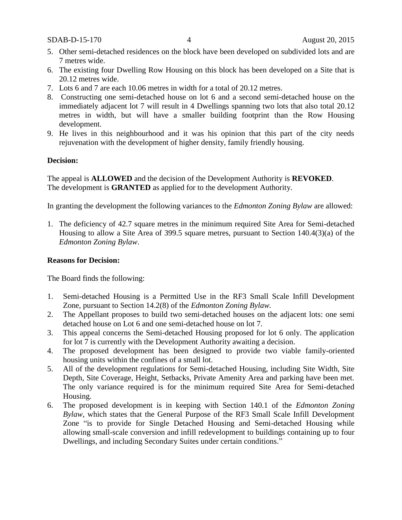SDAB-D-15-170 4 August 20, 2015

- 5. Other semi-detached residences on the block have been developed on subdivided lots and are 7 metres wide.
- 6. The existing four Dwelling Row Housing on this block has been developed on a Site that is 20.12 metres wide.
- 7. Lots 6 and 7 are each 10.06 metres in width for a total of 20.12 metres.
- 8. Constructing one semi-detached house on lot 6 and a second semi-detached house on the immediately adjacent lot 7 will result in 4 Dwellings spanning two lots that also total 20.12 metres in width, but will have a smaller building footprint than the Row Housing development.
- 9. He lives in this neighbourhood and it was his opinion that this part of the city needs rejuvenation with the development of higher density, family friendly housing.

## **Decision:**

The appeal is **ALLOWED** and the decision of the Development Authority is **REVOKED**. The development is **GRANTED** as applied for to the development Authority.

In granting the development the following variances to the *Edmonton Zoning Bylaw* are allowed:

1. The deficiency of 42.7 square metres in the minimum required Site Area for Semi-detached Housing to allow a Site Area of 399.5 square metres, pursuant to Section 140.4(3)(a) of the *Edmonton Zoning Bylaw*.

#### **Reasons for Decision:**

The Board finds the following:

- 1. Semi-detached Housing is a Permitted Use in the RF3 Small Scale Infill Development Zone, pursuant to Section 14.2(8) of the *Edmonton Zoning Bylaw.*
- 2. The Appellant proposes to build two semi-detached houses on the adjacent lots: one semi detached house on Lot 6 and one semi-detached house on lot 7.
- 3. This appeal concerns the Semi-detached Housing proposed for lot 6 only. The application for lot 7 is currently with the Development Authority awaiting a decision.
- 4. The proposed development has been designed to provide two viable family-oriented housing units within the confines of a small lot.
- 5. All of the development regulations for Semi-detached Housing, including Site Width, Site Depth, Site Coverage, Height, Setbacks, Private Amenity Area and parking have been met. The only variance required is for the minimum required Site Area for Semi-detached Housing.
- 6. The proposed development is in keeping with Section 140.1 of the *Edmonton Zoning Bylaw*, which states that the General Purpose of the RF3 Small Scale Infill Development Zone "is to provide for Single Detached Housing and Semi-detached Housing while allowing small-scale conversion and infill redevelopment to buildings containing up to four Dwellings, and including Secondary Suites under certain conditions."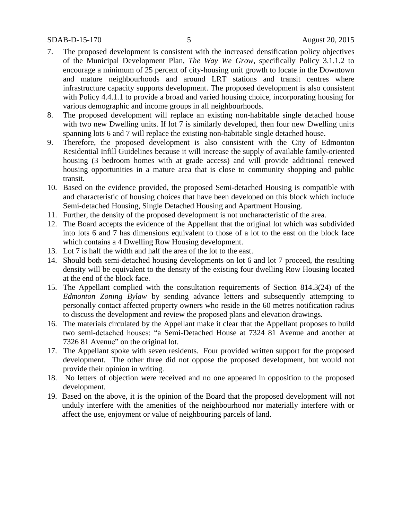#### SDAB-D-15-170 5 August 20, 2015

- 7. The proposed development is consistent with the increased densification policy objectives of the Municipal Development Plan, *The Way We Grow*, specifically Policy 3.1.1.2 to encourage a minimum of 25 percent of city-housing unit growth to locate in the Downtown and mature neighbourhoods and around LRT stations and transit centres where infrastructure capacity supports development. The proposed development is also consistent with Policy 4.4.1.1 to provide a broad and varied housing choice, incorporating housing for various demographic and income groups in all neighbourhoods.
- 8. The proposed development will replace an existing non-habitable single detached house with two new Dwelling units. If lot 7 is similarly developed, then four new Dwelling units spanning lots 6 and 7 will replace the existing non-habitable single detached house.
- 9. Therefore, the proposed development is also consistent with the City of Edmonton Residential Infill Guidelines because it will increase the supply of available family-oriented housing (3 bedroom homes with at grade access) and will provide additional renewed housing opportunities in a mature area that is close to community shopping and public transit.
- 10. Based on the evidence provided, the proposed Semi-detached Housing is compatible with and characteristic of housing choices that have been developed on this block which include Semi-detached Housing, Single Detached Housing and Apartment Housing.
- 11. Further, the density of the proposed development is not uncharacteristic of the area.
- 12. The Board accepts the evidence of the Appellant that the original lot which was subdivided into lots 6 and 7 has dimensions equivalent to those of a lot to the east on the block face which contains a 4 Dwelling Row Housing development.
- 13. Lot 7 is half the width and half the area of the lot to the east.
- 14. Should both semi-detached housing developments on lot 6 and lot 7 proceed, the resulting density will be equivalent to the density of the existing four dwelling Row Housing located at the end of the block face.
- 15. The Appellant complied with the consultation requirements of Section 814.3(24) of the *Edmonton Zoning Bylaw* by sending advance letters and subsequently attempting to personally contact affected property owners who reside in the 60 metres notification radius to discuss the development and review the proposed plans and elevation drawings.
- 16. The materials circulated by the Appellant make it clear that the Appellant proposes to build two semi-detached houses: "a Semi-Detached House at 7324 81 Avenue and another at 7326 81 Avenue" on the original lot.
- 17. The Appellant spoke with seven residents. Four provided written support for the proposed development. The other three did not oppose the proposed development, but would not provide their opinion in writing.
- 18. No letters of objection were received and no one appeared in opposition to the proposed development.
- 19. Based on the above, it is the opinion of the Board that the proposed development will not unduly interfere with the amenities of the neighbourhood nor materially interfere with or affect the use, enjoyment or value of neighbouring parcels of land.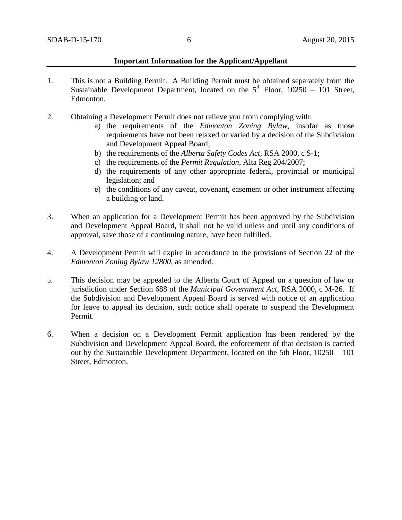#### **Important Information for the Applicant/Appellant**

- 1. This is not a Building Permit. A Building Permit must be obtained separately from the Sustainable Development Department, located on the  $5<sup>th</sup>$  Floor, 10250 – 101 Street, Edmonton.
- 2. Obtaining a Development Permit does not relieve you from complying with:
	- a) the requirements of the *Edmonton Zoning Bylaw*, insofar as those requirements have not been relaxed or varied by a decision of the Subdivision and Development Appeal Board;
	- b) the requirements of the *Alberta Safety Codes Act*, RSA 2000, c S-1;
	- c) the requirements of the *Permit Regulation*, Alta Reg 204/2007;
	- d) the requirements of any other appropriate federal, provincial or municipal legislation; and
	- e) the conditions of any caveat, covenant, easement or other instrument affecting a building or land.
- 3. When an application for a Development Permit has been approved by the Subdivision and Development Appeal Board, it shall not be valid unless and until any conditions of approval, save those of a continuing nature, have been fulfilled.
- 4. A Development Permit will expire in accordance to the provisions of Section 22 of the *Edmonton Zoning Bylaw 12800*, as amended.
- 5. This decision may be appealed to the Alberta Court of Appeal on a question of law or jurisdiction under Section 688 of the *Municipal Government Act*, RSA 2000, c M-26. If the Subdivision and Development Appeal Board is served with notice of an application for leave to appeal its decision, such notice shall operate to suspend the Development Permit.
- 6. When a decision on a Development Permit application has been rendered by the Subdivision and Development Appeal Board, the enforcement of that decision is carried out by the Sustainable Development Department, located on the 5th Floor, 10250 – 101 Street, Edmonton.